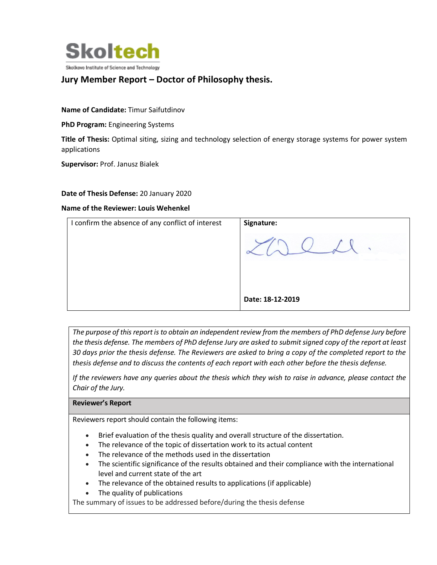

## **Jury Member Report – Doctor of Philosophy thesis.**

**Name of Candidate:** Timur Saifutdinov

**PhD Program:** Engineering Systems

**Title of Thesis:** Optimal siting, sizing and technology selection of energy storage systems for power system applications

**Supervisor:** Prof. Janusz Bialek

## **Date of Thesis Defense:** 20 January 2020

## **Name of the Reviewer: Louis Wehenkel**

| I confirm the absence of any conflict of interest | Signature:       |
|---------------------------------------------------|------------------|
|                                                   |                  |
|                                                   | Date: 18-12-2019 |

*The purpose of this report is to obtain an independent review from the members of PhD defense Jury before the thesis defense. The members of PhD defense Jury are asked to submit signed copy of the report at least 30 days prior the thesis defense. The Reviewers are asked to bring a copy of the completed report to the thesis defense and to discuss the contents of each report with each other before the thesis defense.* 

*If the reviewers have any queries about the thesis which they wish to raise in advance, please contact the Chair of the Jury.*

**Reviewer's Report**

Reviewers report should contain the following items:

- Brief evaluation of the thesis quality and overall structure of the dissertation.
- The relevance of the topic of dissertation work to its actual content
- The relevance of the methods used in the dissertation
- The scientific significance of the results obtained and their compliance with the international level and current state of the art
- The relevance of the obtained results to applications (if applicable)
- The quality of publications

The summary of issues to be addressed before/during the thesis defense